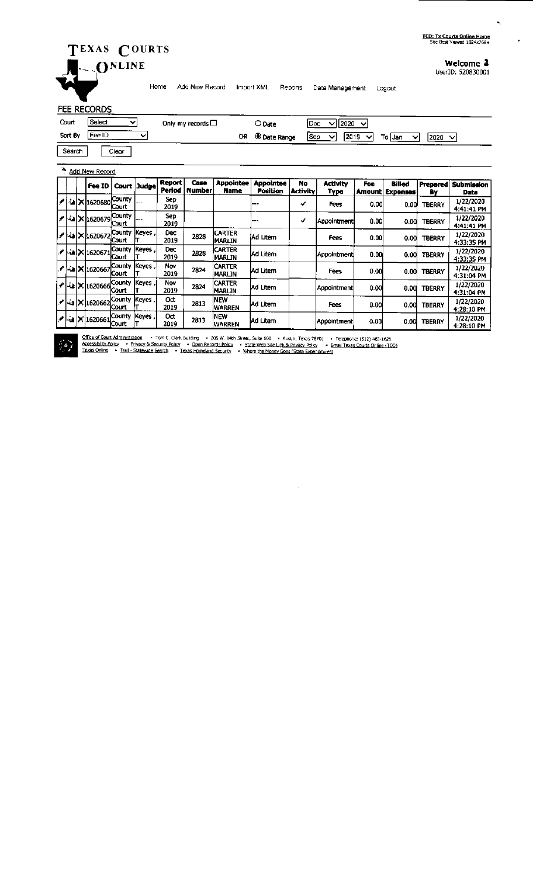# TEXAS COURTS ONLINE

## Welcome 2

UserID: 520830001

 $\ddot{\phantom{a}}$ 

 $\ddot{\phantom{a}}$ 

Home Add New Record Import XML Reports Data Management Logout

### FEE RECORDS

| Court   | Select<br>ີ    | Only my records $\Box$ | O Date       | 12020<br>IDec.<br>$\overline{\phantom{a}}$<br>◡                          |
|---------|----------------|------------------------|--------------|--------------------------------------------------------------------------|
| Sort By | <b>IFee ID</b> | OR.                    | © Date Range | 2019<br><b>ISep</b><br>12020<br>To IJan<br>$\checkmark$<br>ັ∨⊧<br>◡<br>◡ |
| Search  | Clear          |                        |              |                                                                          |

### Add New Record

|        |  | Fee ID               |                               | Court Judge  | Report<br>Period | Case<br>Number | Appointee<br>Name        | <b>Appointee</b><br>Position | No<br><b>Activity</b> | Activity<br>Туре | Fee<br>Amount | Billed<br><b>Expenses</b> | <b>Prepared</b><br>B٧ | <b>Submission</b><br>Date |
|--------|--|----------------------|-------------------------------|--------------|------------------|----------------|--------------------------|------------------------------|-----------------------|------------------|---------------|---------------------------|-----------------------|---------------------------|
| المحود |  | l-alX 1620680        | <b>County</b><br><b>Court</b> | ---          | Sep<br>2019      |                |                          | ---                          | ✓                     | Fees             | 0.00          | 0.00                      | <b>TBERRY</b>         | 1/22/2020<br>4:41:41 PM   |
|        |  | ≁  ^a  X  1620679    | County<br>Court               | ---          | Sep<br>2019      |                |                          | ---                          | ✓                     | Appointment      | 0.00          | 0.00                      | <b>TBERRY</b>         | 1/22/2020<br>4:41:41 PM   |
|        |  | :20672 X 1620672 √ / | County<br><b>Court</b>        | Keyes        | Dec<br>2019      | 2828           | <b>CARTER</b><br>IMARLIN | iAd Litern                   |                       | Fees             | 0.00          | 0.00                      | <b>TBERRY</b>         | 1/22/2020<br>4:33:35 PM   |
|        |  | ∥ -`a  X 1620671     | County<br>Court               | <b>Keyes</b> | Dec<br>2019      | 2828           | <b>CARTER</b><br>MARLIN  | IAd Litem                    |                       | Aopointmenti     | 0.00          | 0.00                      | <b>TBERRY</b>         | 1/22/2020<br>4:33:35 PM   |
|        |  | ∥¦⊶`a X 1620667      | County<br>Court               | Keyes        | Nov<br>2019      | 2824           | CARTER<br>MARLIN         | <b>JAd Litem</b>             |                       | Fees             | 0.00          | 0.00                      | <b>TBERRY</b>         | 1/22/2020<br>4:31:04 PM   |
|        |  | e20666 X ن- ^        | County<br>Court               | <b>Keves</b> | Nov<br>2019      | 2824           | <b>CARTER</b><br>IMARLIN | IAd Litem                    |                       | Appointment      | 0.00          | 0.00                      | <b>TBERRY</b>         | 1/22/2020<br>4:31:04 PM   |
|        |  | ./  -a  ×  1620662   | County<br>¦Court              | Keyes        | 0đ<br>2019       | 2813           | <b>INEW</b><br>IWARREN   | <b>Ad Litem</b>              |                       | Fees             | 0.00          | 0.00                      | <b>TBERRY</b>         | 1/22/2020<br>4:28:10 PM   |
|        |  | 1620661 × 1          | County<br><b>Court</b>        | <b>Keyes</b> | Oσt<br>2019      | 2813           | <b>INEW</b><br>WARREN    | <b>Ad Litem</b>              |                       | Appointment      | 0.00          | 0.00                      | <b>TBERRY</b>         | 1/22/2020<br>4:28:10 PM   |

 $\sim$ 



Office of Court Administration — From C. Clark Building — + 205 W. 14th Street, Suite 600 — + Austin, Texas 78701 — Felephone: (512) 463-1625<br>Accessibility Policy — Privacy & Security Policy — Open Records Policy — + State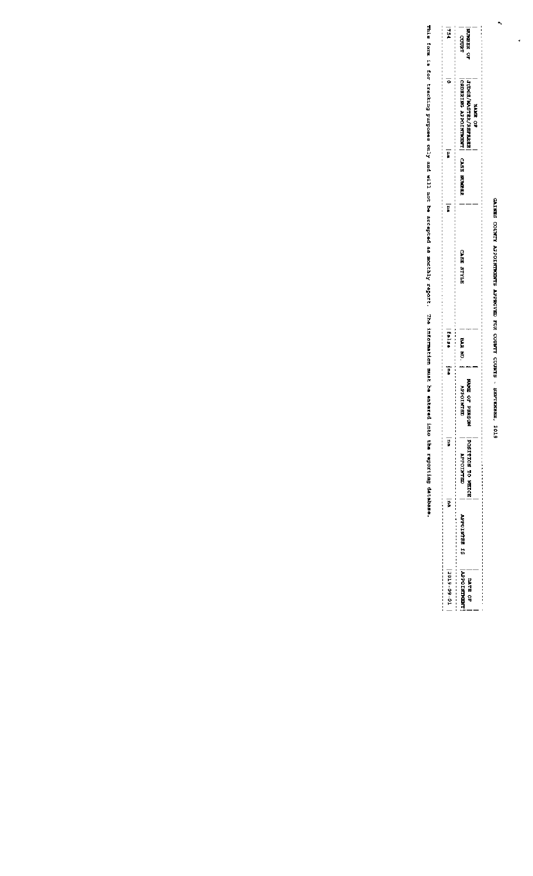# GAINES COUNTY APPOINTMENTS APPROVED FOR COUNTY COURTS - SEPTEMBER, 2019

 $\ddot{\phantom{0}}$ 

 $\ddot{\cdot}$ 

| i<br>P            | <b>MUNBER OF</b><br>coorr                                                       |
|-------------------|---------------------------------------------------------------------------------|
| ö                 | <b>I JUDGE/NASTRR/REERREE</b><br><b>CREATING APPOINTMENT</b><br><b>SPACE CP</b> |
| Ë                 | <b>CASE MUNDER</b>                                                              |
| Ë                 | <b>STALS BEY</b>                                                                |
| talat             | BAS RD.                                                                         |
| þ                 | <b>HARE OF PRESCH</b><br>こっさつき                                                  |
| p                 | <b>POSITION TO MEICE</b><br><b>WENTOFFA</b>                                     |
| ę                 | SI BELAIOddey                                                                   |
| $ 2019 - 09 - 01$ | <b>MTR OF</b>                                                                   |

This form is for tracking purposes only and will not be accepted as monthly report. The information must be entered into the reporting detebase.